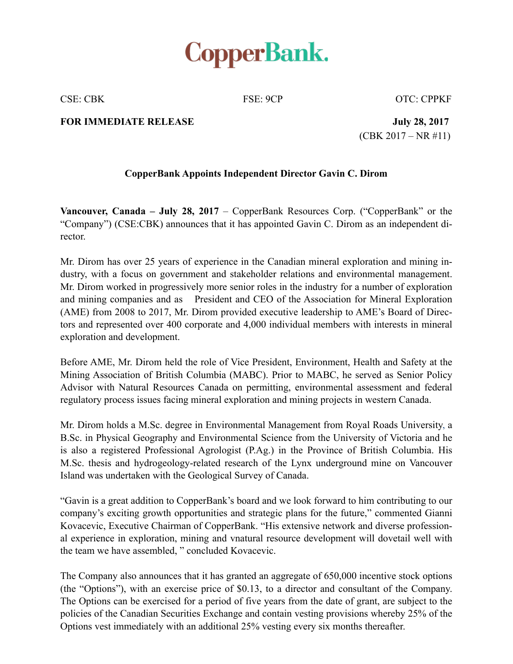

CSE: CBK FSE: 9CP OTC: CPPKF

## **FOR IMMEDIATE RELEASE** July 28, 2017

(CBK 2017 – NR #11)

## **CopperBank Appoints Independent Director Gavin C. Dirom**

**Vancouver, Canada – July 28, 2017** – CopperBank Resources Corp. ("CopperBank" or the "Company") (CSE:CBK) announces that it has appointed Gavin C. Dirom as an independent director.

Mr. Dirom has over 25 years of experience in the Canadian mineral exploration and mining industry, with a focus on government and stakeholder relations and environmental management. Mr. Dirom worked in progressively more senior roles in the industry for a number of exploration and mining companies and as President and CEO of the Association for Mineral Exploration (AME) from 2008 to 2017, Mr. Dirom provided executive leadership to AME's Board of Directors and represented over 400 corporate and 4,000 individual members with interests in mineral exploration and development.

Before AME, Mr. Dirom held the role of Vice President, Environment, Health and Safety at the Mining Association of British Columbia (MABC). Prior to MABC, he served as Senior Policy Advisor with Natural Resources Canada on permitting, environmental assessment and federal regulatory process issues facing mineral exploration and mining projects in western Canada.

Mr. Dirom holds a M.Sc. degree in Environmental Management from Royal Roads University, a B.Sc. in Physical Geography and Environmental Science from the University of Victoria and he is also a registered Professional Agrologist (P.Ag.) in the Province of British Columbia. His M.Sc. thesis and hydrogeology-related research of the Lynx underground mine on Vancouver Island was undertaken with the Geological Survey of Canada.

"Gavin is a great addition to CopperBank's board and we look forward to him contributing to our company's exciting growth opportunities and strategic plans for the future," commented Gianni Kovacevic, Executive Chairman of CopperBank. "His extensive network and diverse professional experience in exploration, mining and vnatural resource development will dovetail well with the team we have assembled, " concluded Kovacevic.

The Company also announces that it has granted an aggregate of 650,000 incentive stock options (the "Options"), with an exercise price of \$0.13, to a director and consultant of the Company. The Options can be exercised for a period of five years from the date of grant, are subject to the policies of the Canadian Securities Exchange and contain vesting provisions whereby 25% of the Options vest immediately with an additional 25% vesting every six months thereafter.